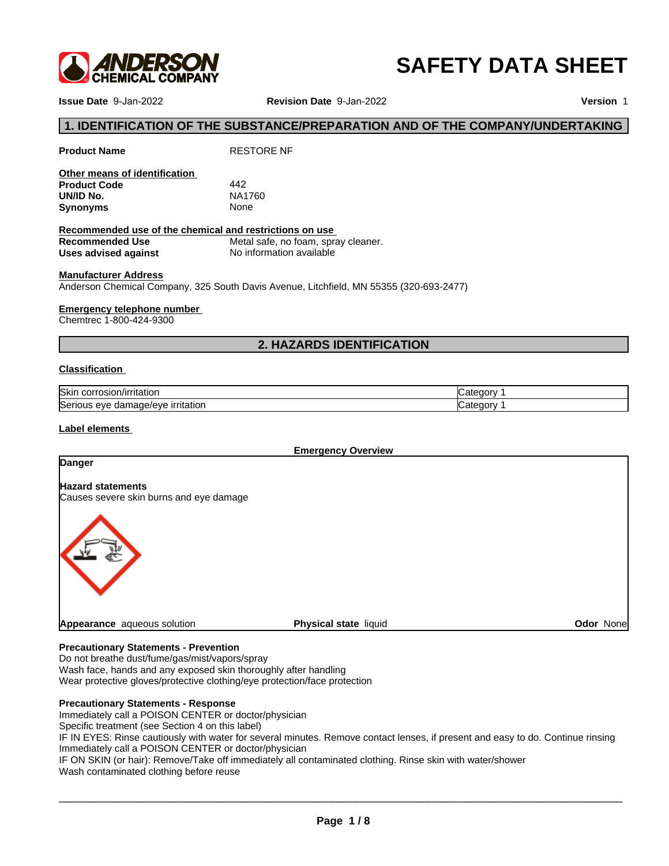

# **SAFETY DATA SHEET**

**Issue Date** 9-Jan-2022 **Revision Date** 9-Jan-2022 **Version** 1

# **1. IDENTIFICATION OF THE SUBSTANCE/PREPARATION AND OF THE COMPANY/UNDERTAKING**<br>1. IDENTIFICATION OF THE SUBSTANCE/PREPARATION AND OF THE COMPANY/UNDERTAKING<br><sup>1.</sup> Indentification reals of identification<br>ther means of ident

| Other means of identification |        |  |
|-------------------------------|--------|--|
| <b>Product Code</b>           | 442    |  |
| UN/ID No.                     | NA1760 |  |
| Synonyms                      | None   |  |

**Product Name** RESTORE NF

| Other means of identification                                                                                         |                          |                                     |            |  |
|-----------------------------------------------------------------------------------------------------------------------|--------------------------|-------------------------------------|------------|--|
| <b>Product Code</b>                                                                                                   | 442                      |                                     |            |  |
| UN/ID No.                                                                                                             | NA1760                   |                                     |            |  |
| <b>Synonyms</b>                                                                                                       | None                     |                                     |            |  |
| Recommended use of the chemical and restrictions on use                                                               |                          |                                     |            |  |
| <b>Recommended Use</b>                                                                                                |                          | Metal safe, no foam, spray cleaner. |            |  |
| Uses advised against                                                                                                  | No information available |                                     |            |  |
| <b>Manufacturer Address</b><br>Anderson Chemical Company, 325 South Davis Avenue, Litchfield, MN 55355 (320-693-2477) |                          |                                     |            |  |
|                                                                                                                       |                          |                                     |            |  |
| <b>Emergency telephone number</b>                                                                                     |                          |                                     |            |  |
| Chemtrec 1-800-424-9300                                                                                               |                          |                                     |            |  |
|                                                                                                                       |                          | <b>2. HAZARDS IDENTIFICATION</b>    |            |  |
| <b>Classification</b>                                                                                                 |                          |                                     |            |  |
| Skin corrosion/irritation                                                                                             |                          |                                     | Category 1 |  |

### **Manufacturer Address**

### **Emergency telephone number**

### **Classification**

| <b>Skin</b><br>/irritation<br>'rosion/ir<br>COLL     | `eaor\  |
|------------------------------------------------------|---------|
| Seric<br><u>ırrıtatıor</u><br>mage/eve<br>eve<br>dar | `teaor\ |

### **Label elements**

**Emergency Overview**

# **Danger**

**Hazard statements**

Causes severe skin burns and eye damage



### **Precautionary Statements - Prevention**

Do not breathe dust/fume/gas/mist/vapors/spray Wash face, hands and any exposed skin thoroughly after handling Wear protective gloves/protective clothing/eye protection/face protection

### **Precautionary Statements - Response**

Immediately call a POISON CENTER or doctor/physician

Specific treatment (see Section 4 on this label)

IF IN EYES: Rinse cautiously with water for several minutes. Remove contact lenses, if present and easy to do. Continue rinsing Immediately call a POISON CENTER or doctor/physician

IF ON SKIN (or hair): Remove/Take off immediately all contaminated clothing. Rinse skin with water/shower Wash contaminated clothing before reuse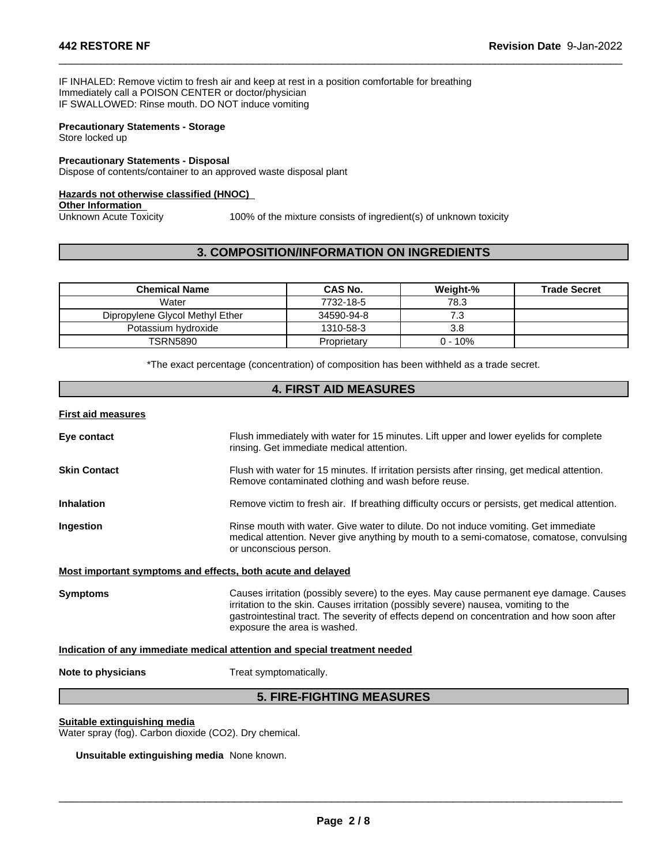### **Precautionary Statements - Storage** Store locked up

### **Hazards not otherwise classified (HNOC)**

 $\_$  ,  $\_$  ,  $\_$  ,  $\_$  ,  $\_$  ,  $\_$  ,  $\_$  ,  $\_$  ,  $\_$  ,  $\_$  ,  $\_$  ,  $\_$  ,  $\_$  ,  $\_$  ,  $\_$  ,  $\_$  ,  $\_$  ,  $\_$  ,  $\_$  ,  $\_$  ,  $\_$  ,  $\_$  ,  $\_$  ,  $\_$  ,  $\_$  ,  $\_$  ,  $\_$  ,  $\_$  ,  $\_$  ,  $\_$  ,  $\_$  ,  $\_$  ,  $\_$  ,  $\_$  ,  $\_$  ,  $\_$  ,  $\_$  ,

| IF SWALLOWED: Rinse mouth. DO NOT induce vomiting                                                               |                                                                   |           |                     |
|-----------------------------------------------------------------------------------------------------------------|-------------------------------------------------------------------|-----------|---------------------|
| <b>Precautionary Statements - Storage</b><br>Store locked up                                                    |                                                                   |           |                     |
| <b>Precautionary Statements - Disposal</b><br>Dispose of contents/container to an approved waste disposal plant |                                                                   |           |                     |
| <b>Hazards not otherwise classified (HNOC)</b>                                                                  |                                                                   |           |                     |
| <b>Other Information</b>                                                                                        |                                                                   |           |                     |
| Unknown Acute Toxicity                                                                                          | 100% of the mixture consists of ingredient(s) of unknown toxicity |           |                     |
|                                                                                                                 |                                                                   |           |                     |
|                                                                                                                 |                                                                   |           |                     |
|                                                                                                                 | <b>3. COMPOSITION/INFORMATION ON INGREDIENTS</b>                  |           |                     |
|                                                                                                                 |                                                                   |           |                     |
|                                                                                                                 |                                                                   |           |                     |
| <b>Chemical Name</b>                                                                                            | <b>CAS No.</b>                                                    | Weight-%  | <b>Trade Secret</b> |
| Water                                                                                                           | 7732-18-5                                                         | 78.3      |                     |
| Dipropylene Glycol Methyl Ether                                                                                 | 34590-94-8                                                        | 7.3       |                     |
| Potassium hydroxide                                                                                             | 1310-58-3                                                         | 3.8       |                     |
|                                                                                                                 |                                                                   |           |                     |
|                                                                                                                 |                                                                   |           |                     |
| <b>TSRN5890</b>                                                                                                 | Proprietary                                                       | $0 - 10%$ |                     |
| *The exact percentage (concentration) of composition has been withheld as a trade secret.                       |                                                                   |           |                     |
|                                                                                                                 |                                                                   |           |                     |

| Eye contact                                                                            | Flush immediately with water for 15 minutes. Lift upper and lower eyelids for complete<br>rinsing. Get immediate medical attention.                                                                                                                                                                          |  |  |
|----------------------------------------------------------------------------------------|--------------------------------------------------------------------------------------------------------------------------------------------------------------------------------------------------------------------------------------------------------------------------------------------------------------|--|--|
| <b>Skin Contact</b>                                                                    | Flush with water for 15 minutes. If irritation persists after rinsing, get medical attention.<br>Remove contaminated clothing and wash before reuse.                                                                                                                                                         |  |  |
| <b>Inhalation</b>                                                                      | Remove victim to fresh air. If breathing difficulty occurs or persists, get medical attention.                                                                                                                                                                                                               |  |  |
| Ingestion                                                                              | Rinse mouth with water. Give water to dilute. Do not induce vomiting. Get immediate<br>medical attention. Never give anything by mouth to a semi-comatose, comatose, convulsing<br>or unconscious person.                                                                                                    |  |  |
| Most important symptoms and effects, both acute and delayed                            |                                                                                                                                                                                                                                                                                                              |  |  |
| <b>Symptoms</b>                                                                        | Causes irritation (possibly severe) to the eyes. May cause permanent eye damage. Causes<br>irritation to the skin. Causes irritation (possibly severe) nausea, vomiting to the<br>gastrointestinal tract. The severity of effects depend on concentration and how soon after<br>exposure the area is washed. |  |  |
|                                                                                        | Indication of any immediate medical attention and special treatment needed                                                                                                                                                                                                                                   |  |  |
| Note to physicians                                                                     | Treat symptomatically.                                                                                                                                                                                                                                                                                       |  |  |
|                                                                                        | <b>5. FIRE-FIGHTING MEASURES</b>                                                                                                                                                                                                                                                                             |  |  |
| Suitable extinguishing media<br>Water spray (fog). Carbon dioxide (CO2). Dry chemical. |                                                                                                                                                                                                                                                                                                              |  |  |

### **Suitable extinguishing media**

**Unsuitable extinguishing media** None known.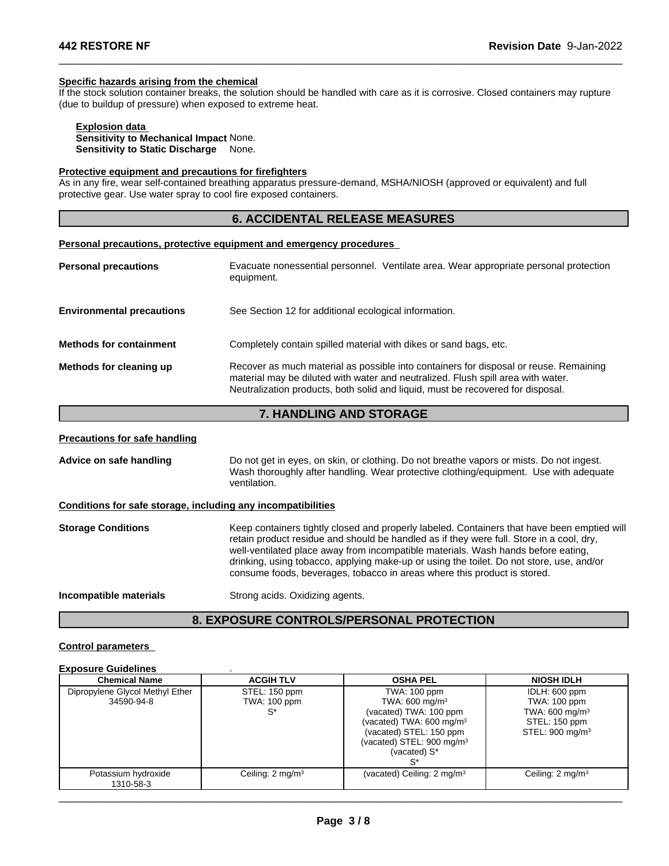### **Specific hazards arising from the chemical**

If the stock solution container breaks, the solution should be handled with care as it is corrosive. Closed containers may rupture (due to buildup of pressure) when exposed to extreme heat. **Fraction Date 9-Jan-20**<br> **Example 3.1 ACCIDENTAL RELEASE MEASURES**<br>
Fraction should be handled with care as it is corrosive. Closed containers may rupture<br>
alone.<br> **6. ACCIDENTAL RELEASE MEASURES**<br> **6. ACCIDENTAL RELEASE** 

 $\_$  ,  $\_$  ,  $\_$  ,  $\_$  ,  $\_$  ,  $\_$  ,  $\_$  ,  $\_$  ,  $\_$  ,  $\_$  ,  $\_$  ,  $\_$  ,  $\_$  ,  $\_$  ,  $\_$  ,  $\_$  ,  $\_$  ,  $\_$  ,  $\_$  ,  $\_$  ,  $\_$  ,  $\_$  ,  $\_$  ,  $\_$  ,  $\_$  ,  $\_$  ,  $\_$  ,  $\_$  ,  $\_$  ,  $\_$  ,  $\_$  ,  $\_$  ,  $\_$  ,  $\_$  ,  $\_$  ,  $\_$  ,  $\_$  ,

### **Explosion data**

**Sensitivity to Mechanical Impact** None. **Sensitivity to Static Discharge** None.

# **Protective equipment and precautions for firefighters**

As in any fire, wear self-contained breathing apparatus pressure-demand, MSHA/NIOSH (approved or equivalent) and full protective gear. Use water spray to cool fire exposed containers.

### **Personal precautions, protective equipment and emergency procedures**

| <b>Personal precautions</b>      | Evacuate nonessential personnel. Ventilate area. Wear appropriate personal protection<br>equipment.                                                                                                                                                          |
|----------------------------------|--------------------------------------------------------------------------------------------------------------------------------------------------------------------------------------------------------------------------------------------------------------|
| <b>Environmental precautions</b> | See Section 12 for additional ecological information.                                                                                                                                                                                                        |
| <b>Methods for containment</b>   | Completely contain spilled material with dikes or sand bags, etc.                                                                                                                                                                                            |
| Methods for cleaning up          | Recover as much material as possible into containers for disposal or reuse. Remaining<br>material may be diluted with water and neutralized. Flush spill area with water.<br>Neutralization products, both solid and liquid, must be recovered for disposal. |
|                                  | 7. HANDLING AND STORAGE                                                                                                                                                                                                                                      |

### **Precautions for safe handling**

# **Conditions for safe storage, including any incompatibilities**

| <b>Precautions for safe handling</b>                         |                                                                                                                                                                                                                                                                                                                                                                                                                                                      |
|--------------------------------------------------------------|------------------------------------------------------------------------------------------------------------------------------------------------------------------------------------------------------------------------------------------------------------------------------------------------------------------------------------------------------------------------------------------------------------------------------------------------------|
| Advice on safe handling                                      | Do not get in eyes, on skin, or clothing. Do not breathe vapors or mists. Do not ingest.<br>Wash thoroughly after handling. Wear protective clothing/equipment. Use with adequate<br>ventilation.                                                                                                                                                                                                                                                    |
| Conditions for safe storage, including any incompatibilities |                                                                                                                                                                                                                                                                                                                                                                                                                                                      |
| <b>Storage Conditions</b>                                    | Keep containers tightly closed and properly labeled. Containers that have been emptied will<br>retain product residue and should be handled as if they were full. Store in a cool, dry,<br>well-ventilated place away from incompatible materials. Wash hands before eating,<br>drinking, using tobacco, applying make-up or using the toilet. Do not store, use, and/or<br>consume foods, beverages, tobacco in areas where this product is stored. |
| Incompatible materials                                       | Strong acids. Oxidizing agents.                                                                                                                                                                                                                                                                                                                                                                                                                      |
|                                                              | <b>8. EXPOSURE CONTROLS/PERSONAL PROTECTION</b>                                                                                                                                                                                                                                                                                                                                                                                                      |
| <b>Control parameters</b><br><b>Exposure Guidelines</b>      |                                                                                                                                                                                                                                                                                                                                                                                                                                                      |

### **Control parameters**

### **Exposure Guidelines** .

| <b>Chemical Name</b>                          | <b>ACGIH TLV</b>                    | <b>OSHA PEL</b>                                                                                                                                                                                       | <b>NIOSH IDLH</b>                                                                                           |
|-----------------------------------------------|-------------------------------------|-------------------------------------------------------------------------------------------------------------------------------------------------------------------------------------------------------|-------------------------------------------------------------------------------------------------------------|
| Dipropylene Glycol Methyl Ether<br>34590-94-8 | STEL: 150 ppm<br>TWA: 100 ppm<br>S* | <b>TWA: 100 ppm</b><br>TWA: 600 mg/m <sup>3</sup><br>(vacated) TWA: 100 ppm<br>(vacated) TWA: $600 \text{ mg/m}^3$<br>(vacated) STEL: 150 ppm<br>(vacated) STEL: $900 \text{ mg/m}^3$<br>(vacated) S* | IDLH: 600 ppm<br>TWA: 100 ppm<br>TWA: 600 mg/m <sup>3</sup><br>STEL: 150 ppm<br>STEL: 900 mg/m <sup>3</sup> |
| Potassium hydroxide<br>1310-58-3              | Ceiling: $2 \text{ mg/m}^3$         | (vacated) Ceiling: $2 \text{ mg/m}^3$                                                                                                                                                                 | Ceiling: $2 \text{ mg/m}^3$                                                                                 |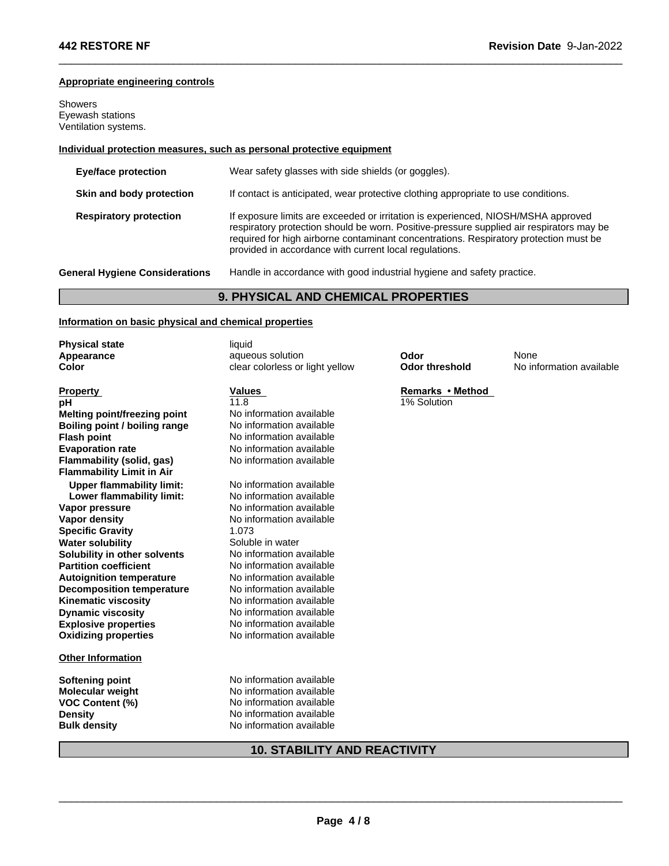# **Appropriate engineering controls**

Showers Eyewash stations Ventilation systems.

# **Individual protection measures, such as personal protective equipment**

| If contact is anticipated, wear protective clothing appropriate to use conditions.                                                                                                                                                                                     |
|------------------------------------------------------------------------------------------------------------------------------------------------------------------------------------------------------------------------------------------------------------------------|
| If exposure limits are exceeded or irritation is experienced, NIOSH/MSHA approved<br>respiratory protection should be worn. Positive-pressure supplied air respirators may be<br>required for high airborne contaminant concentrations. Respiratory protection must be |
|                                                                                                                                                                                                                                                                        |
|                                                                                                                                                                                                                                                                        |
|                                                                                                                                                                                                                                                                        |
|                                                                                                                                                                                                                                                                        |
|                                                                                                                                                                                                                                                                        |

 $\_$  ,  $\_$  ,  $\_$  ,  $\_$  ,  $\_$  ,  $\_$  ,  $\_$  ,  $\_$  ,  $\_$  ,  $\_$  ,  $\_$  ,  $\_$  ,  $\_$  ,  $\_$  ,  $\_$  ,  $\_$  ,  $\_$  ,  $\_$  ,  $\_$  ,  $\_$  ,  $\_$  ,  $\_$  ,  $\_$  ,  $\_$  ,  $\_$  ,  $\_$  ,  $\_$  ,  $\_$  ,  $\_$  ,  $\_$  ,  $\_$  ,  $\_$  ,  $\_$  ,  $\_$  ,  $\_$  ,  $\_$  ,  $\_$  ,

# **Information on basic physical and chemical properties**

| <b>Physical state</b>            | liquid                              |                       |                          |
|----------------------------------|-------------------------------------|-----------------------|--------------------------|
| Appearance                       | aqueous solution                    | Odor                  | None                     |
| Color                            | clear colorless or light yellow     | <b>Odor threshold</b> | No information available |
| <b>Property</b>                  | <b>Values</b>                       | Remarks • Method      |                          |
| рH                               | 11.8                                | 1% Solution           |                          |
| Melting point/freezing point     | No information available            |                       |                          |
| Boiling point / boiling range    | No information available            |                       |                          |
| <b>Flash point</b>               | No information available            |                       |                          |
| <b>Evaporation rate</b>          | No information available            |                       |                          |
| <b>Flammability (solid, gas)</b> | No information available            |                       |                          |
| <b>Flammability Limit in Air</b> |                                     |                       |                          |
| <b>Upper flammability limit:</b> | No information available            |                       |                          |
| Lower flammability limit:        | No information available            |                       |                          |
| Vapor pressure                   | No information available            |                       |                          |
| Vapor density                    | No information available            |                       |                          |
| <b>Specific Gravity</b>          | 1.073                               |                       |                          |
| <b>Water solubility</b>          | Soluble in water                    |                       |                          |
| Solubility in other solvents     | No information available            |                       |                          |
| <b>Partition coefficient</b>     | No information available            |                       |                          |
| <b>Autoignition temperature</b>  | No information available            |                       |                          |
| <b>Decomposition temperature</b> | No information available            |                       |                          |
| <b>Kinematic viscosity</b>       | No information available            |                       |                          |
| <b>Dynamic viscosity</b>         | No information available            |                       |                          |
| <b>Explosive properties</b>      | No information available            |                       |                          |
| <b>Oxidizing properties</b>      | No information available            |                       |                          |
| <b>Other Information</b>         |                                     |                       |                          |
| <b>Softening point</b>           | No information available            |                       |                          |
| <b>Molecular weight</b>          | No information available            |                       |                          |
| <b>VOC Content (%)</b>           | No information available            |                       |                          |
| <b>Density</b>                   | No information available            |                       |                          |
| <b>Bulk density</b>              | No information available            |                       |                          |
|                                  | <b>10. STABILITY AND REACTIVITY</b> |                       |                          |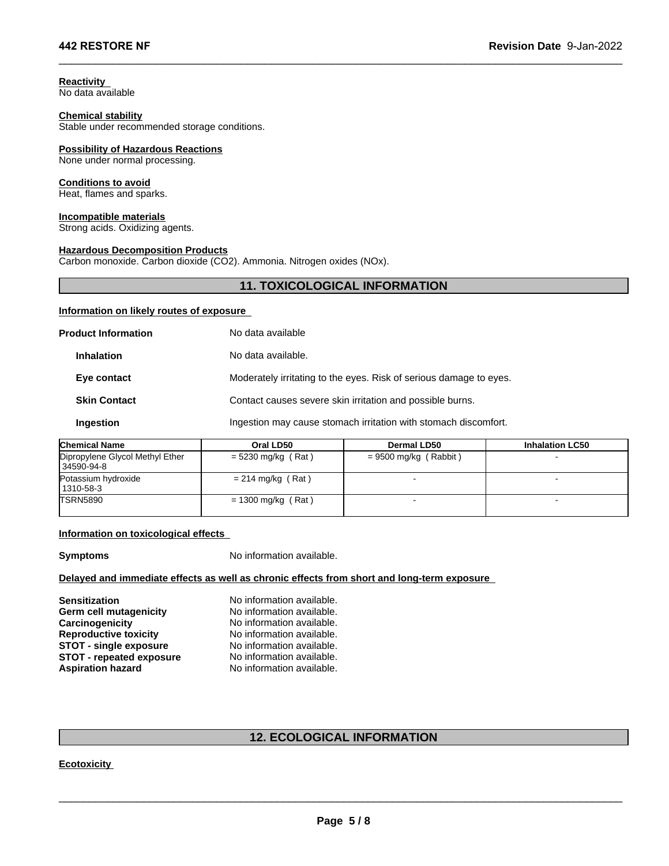**Reactivity**  No data available

### **Chemical stability**

Stable under recommended storage conditions.

# **Possibility of Hazardous Reactions**

None under normal processing.

### **Conditions to avoid**

Heat, flames and sparks.

# **Incompatible materials**

Strong acids. Oxidizing agents.

### **Hazardous Decomposition Products**

Carbon monoxide. Carbon dioxide (CO2). Ammonia. Nitrogen oxides (NOx).

# **11. TOXICOLOGICAL INFORMATION**<br> **11. TOXICOLOGICAL INFORMATION**<br> **e\_**<br> **o** data available

 $\_$  ,  $\_$  ,  $\_$  ,  $\_$  ,  $\_$  ,  $\_$  ,  $\_$  ,  $\_$  ,  $\_$  ,  $\_$  ,  $\_$  ,  $\_$  ,  $\_$  ,  $\_$  ,  $\_$  ,  $\_$  ,  $\_$  ,  $\_$  ,  $\_$  ,  $\_$  ,  $\_$  ,  $\_$  ,  $\_$  ,  $\_$  ,  $\_$  ,  $\_$  ,  $\_$  ,  $\_$  ,  $\_$  ,  $\_$  ,  $\_$  ,  $\_$  ,  $\_$  ,  $\_$  ,  $\_$  ,  $\_$  ,  $\_$  ,

# **Information on likely routes of exposure**

| No data available                                                  |
|--------------------------------------------------------------------|
| No data available.                                                 |
| Moderately irritating to the eyes. Risk of serious damage to eyes. |
| Contact causes severe skin irritation and possible burns.          |
| Ingestion may cause stomach irritation with stomach discomfort.    |
|                                                                    |

| <b>Chemical Name</b>                            | Oral LD50            | Dermal LD50             | <b>Inhalation LC50</b> |
|-------------------------------------------------|----------------------|-------------------------|------------------------|
| Dipropylene Glycol Methyl Ether<br>  34590-94-8 | $= 5230$ mg/kg (Rat) | $= 9500$ mg/kg (Rabbit) |                        |
| Potassium hydroxide<br>1310-58-3                | $= 214$ mg/kg (Rat)  |                         |                        |
| <b>TSRN5890</b>                                 | $= 1300$ mg/kg (Rat) |                         |                        |

### **Information on toxicological effects**

### **Delayed and immediate effects as well as chronic effects from short and long-term exposure**

| <b>Symptoms</b>                                                                                                                                                                                          | No information available.                                                                                                                                                                               |
|----------------------------------------------------------------------------------------------------------------------------------------------------------------------------------------------------------|---------------------------------------------------------------------------------------------------------------------------------------------------------------------------------------------------------|
|                                                                                                                                                                                                          | Delayed and immediate effects as well as chronic effects from short and long-term exposure                                                                                                              |
| <b>Sensitization</b><br><b>Germ cell mutagenicity</b><br>Carcinogenicity<br><b>Reproductive toxicity</b><br><b>STOT - single exposure</b><br><b>STOT - repeated exposure</b><br><b>Aspiration hazard</b> | No information available.<br>No information available.<br>No information available.<br>No information available.<br>No information available.<br>No information available.<br>No information available. |
|                                                                                                                                                                                                          | <b>12. ECOLOGICAL INFORMATION</b>                                                                                                                                                                       |
| Ecotoxicity                                                                                                                                                                                              |                                                                                                                                                                                                         |
|                                                                                                                                                                                                          |                                                                                                                                                                                                         |

# \_\_\_\_\_\_\_\_\_\_\_\_\_\_\_\_\_\_\_\_\_\_\_\_\_\_\_\_\_\_\_\_\_\_\_\_\_\_\_\_\_\_\_\_\_\_\_\_\_\_\_\_\_\_\_\_\_\_\_\_\_\_\_\_\_\_\_\_\_\_\_\_\_\_\_\_\_\_\_\_\_\_\_\_\_\_\_\_\_\_\_\_\_ **Ecotoxicity**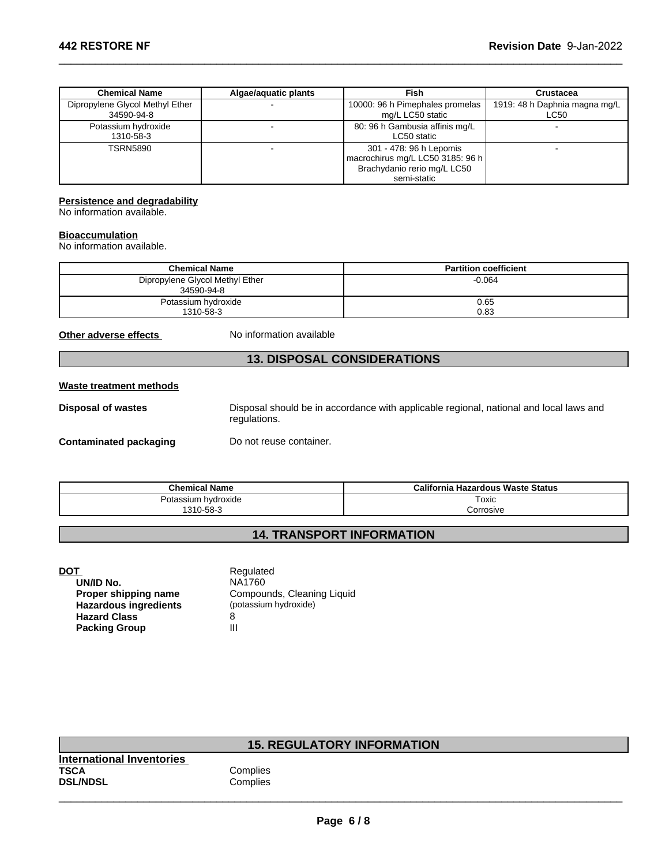| <b>Chemical Name</b>            | Algae/aguatic plants | Fish                             | <b>Crustacea</b>              |
|---------------------------------|----------------------|----------------------------------|-------------------------------|
| Dipropylene Glycol Methyl Ether |                      | 10000: 96 h Pimephales promelas  | 1919: 48 h Daphnia magna mg/L |
| 34590-94-8                      |                      | mg/L LC50 static                 | LC50                          |
| Potassium hydroxide             |                      | 80: 96 h Gambusia affinis mg/L   |                               |
| 1310-58-3                       |                      | LC50 static                      |                               |
| <b>TSRN5890</b>                 |                      | 301 - 478: 96 h Lepomis          |                               |
|                                 |                      | macrochirus mg/L LC50 3185: 96 h |                               |
|                                 |                      | Brachydanio rerio mg/L LC50      |                               |
|                                 |                      | semi-static                      |                               |

 $\_$  ,  $\_$  ,  $\_$  ,  $\_$  ,  $\_$  ,  $\_$  ,  $\_$  ,  $\_$  ,  $\_$  ,  $\_$  ,  $\_$  ,  $\_$  ,  $\_$  ,  $\_$  ,  $\_$  ,  $\_$  ,  $\_$  ,  $\_$  ,  $\_$  ,  $\_$  ,  $\_$  ,  $\_$  ,  $\_$  ,  $\_$  ,  $\_$  ,  $\_$  ,  $\_$  ,  $\_$  ,  $\_$  ,  $\_$  ,  $\_$  ,  $\_$  ,  $\_$  ,  $\_$  ,  $\_$  ,  $\_$  ,  $\_$  ,

### **Persistence and degradability**

### **Bioaccumulation**

|                                                                   |                                               | <b>DIAGOLYUATIIU TULU THUYL LUJU</b><br>semi-static                                    |                              |
|-------------------------------------------------------------------|-----------------------------------------------|----------------------------------------------------------------------------------------|------------------------------|
| <b>Persistence and degradability</b><br>No information available. |                                               |                                                                                        |                              |
| <b>Bioaccumulation</b><br>No information available.               |                                               |                                                                                        |                              |
|                                                                   | <b>Chemical Name</b>                          |                                                                                        | <b>Partition coefficient</b> |
|                                                                   | Dipropylene Glycol Methyl Ether<br>34590-94-8 |                                                                                        | $-0.064$                     |
|                                                                   | Potassium hydroxide<br>1310-58-3              |                                                                                        | 0.65<br>0.83                 |
| Other adverse effects                                             | No information available                      |                                                                                        |                              |
|                                                                   |                                               | <b>13. DISPOSAL CONSIDERATIONS</b>                                                     |                              |
| Waste treatment methods                                           |                                               |                                                                                        |                              |
| Dienneal of wastes                                                |                                               | Disposal should be in accordance with applicable regional inational and local laws and |                              |

# **Waste treatment methods**

| <b>13. DISPOSAL CONSIDERATIONS</b> |                                  |                                                                                        |  |  |
|------------------------------------|----------------------------------|----------------------------------------------------------------------------------------|--|--|
| <b>Waste treatment methods</b>     |                                  |                                                                                        |  |  |
| <b>Disposal of wastes</b>          | regulations.                     | Disposal should be in accordance with applicable regional, national and local laws and |  |  |
| <b>Contaminated packaging</b>      | Do not reuse container.          |                                                                                        |  |  |
| <b>Chemical Name</b>               |                                  | <b>California Hazardous Waste Status</b>                                               |  |  |
| Potassium hydroxide                |                                  | Toxic                                                                                  |  |  |
|                                    | 1310-58-3                        | Corrosive                                                                              |  |  |
|                                    | <b>14. TRANSPORT INFORMATION</b> |                                                                                        |  |  |
|                                    |                                  |                                                                                        |  |  |
| <b>DOT</b>                         | Regulated                        |                                                                                        |  |  |
| UN/ID No                           | <b>NA1760</b>                    |                                                                                        |  |  |

|                              | Regulated                  |
|------------------------------|----------------------------|
| UN/ID No.                    | NA1760                     |
| Proper shipping name         | Compounds, Cleaning Liquid |
| <b>Hazardous ingredients</b> | (potassium hydroxide)      |
| <b>Hazard Class</b>          | 8                          |
| <b>Packing Group</b>         | Ш                          |

| <b>DOT</b><br>UN/ID No.<br>Proper shipping name<br><b>Hazardous ingredients</b><br><b>Hazard Class</b><br><b>Packing Group</b> | Regulated<br>NA1760<br>Compounds, Cleaning Liquid<br>(potassium hydroxide)<br>8<br>III |
|--------------------------------------------------------------------------------------------------------------------------------|----------------------------------------------------------------------------------------|
|                                                                                                                                | <b>15. REGULATORY INFORMATION</b>                                                      |
| <b>International Inventories</b><br><b>TSCA</b><br><b>DSL/NDSL</b>                                                             | Complies<br>Complies                                                                   |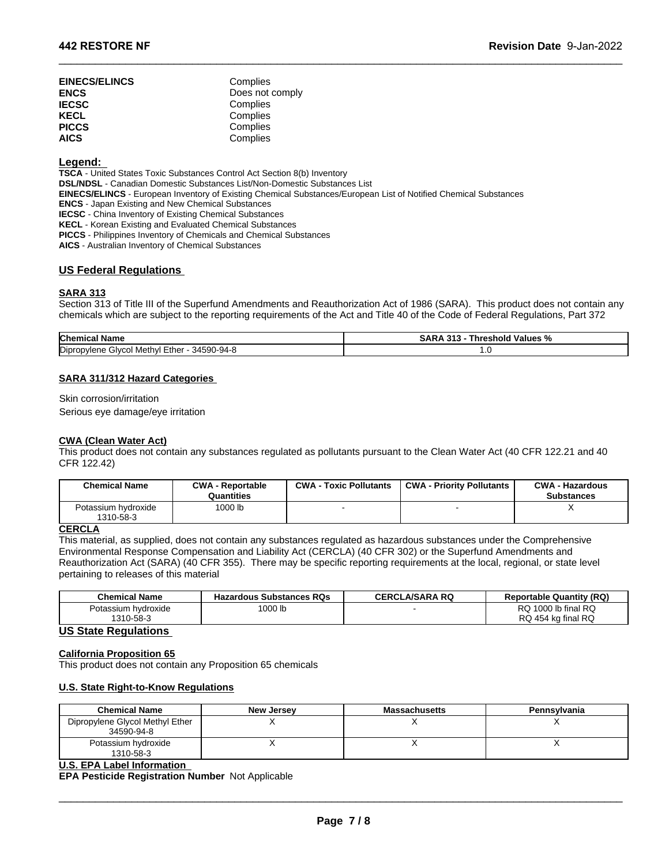| <b>EINECS/ELINCS</b> | Complies        |
|----------------------|-----------------|
| <b>ENCS</b>          | Does not comply |
| <b>IECSC</b>         | Complies        |
| <b>KECL</b>          | Complies        |
| <b>PICCS</b>         | Complies        |
| AICS                 | Complies        |

### **Legend:**

**TSCA** - United States Toxic Substances Control Act Section 8(b) Inventory

**DSL/NDSL** - Canadian Domestic Substances List/Non-Domestic Substances List

**EINECS/ELINCS** - European Inventory of Existing Chemical Substances/European List of Notified Chemical Substances

**ENCS** - Japan Existing and New Chemical Substances

**IECSC** - China Inventory of Existing Chemical Substances

**KECL** - Korean Existing and Evaluated Chemical Substances

**PICCS** - Philippines Inventory of Chemicals and Chemical Substances

**AICS** - Australian Inventory of Chemical Substances

# **US Federal Regulations**

# **SARA 313**

Section 313 of Title III of the Superfund Amendments and Reauthorization Act of 1986 (SARA). This product does not contain any chemicals which are subject to the reporting requirements of the Act and Title 40 of the Code of Federal Regulations, Part 372

 $\_$  ,  $\_$  ,  $\_$  ,  $\_$  ,  $\_$  ,  $\_$  ,  $\_$  ,  $\_$  ,  $\_$  ,  $\_$  ,  $\_$  ,  $\_$  ,  $\_$  ,  $\_$  ,  $\_$  ,  $\_$  ,  $\_$  ,  $\_$  ,  $\_$  ,  $\_$  ,  $\_$  ,  $\_$  ,  $\_$  ,  $\_$  ,  $\_$  ,  $\_$  ,  $\_$  ,  $\_$  ,  $\_$  ,  $\_$  ,  $\_$  ,  $\_$  ,  $\_$  ,  $\_$  ,  $\_$  ,  $\_$  ,  $\_$  ,

| <b>Chemical Name</b>                                  | 242<br>SARA<br>∣ Values %<br><b>Threshold</b><br>- 70 |
|-------------------------------------------------------|-------------------------------------------------------|
| Dipropylene<br>34590-94-8<br>Methvl<br>Glvcc<br>⊏ther | $\cdot\cdot$                                          |

### **SARA 311/312 Hazard Categories**

### **CWA (Clean Water Act)**

| Dipropylene Glycol Methyl Ether - 34590-94-8 |                                       |                               | 1.0                                                                                                                        |                                             |
|----------------------------------------------|---------------------------------------|-------------------------------|----------------------------------------------------------------------------------------------------------------------------|---------------------------------------------|
| <b>SARA 311/312 Hazard Categories</b>        |                                       |                               |                                                                                                                            |                                             |
| Skin corrosion/irritation                    |                                       |                               |                                                                                                                            |                                             |
| Serious eye damage/eye irritation            |                                       |                               |                                                                                                                            |                                             |
| <b>CWA (Clean Water Act)</b><br>CFR 122.42)  |                                       |                               | This product does not contain any substances regulated as pollutants pursuant to the Clean Water Act (40 CFR 122.21 and 40 |                                             |
| <b>Chemical Name</b>                         | <b>CWA - Reportable</b><br>Quantities | <b>CWA - Toxic Pollutants</b> | <b>CWA - Priority Pollutants</b>                                                                                           | <b>CWA - Hazardous</b><br><b>Substances</b> |
| Potassium hydroxide<br>1310-58-3             | 1000 lb                               |                               |                                                                                                                            | x                                           |

# **CERCLA**

This material, as supplied, does not contain any substances regulated as hazardous substances under the Comprehensive Environmental Response Compensation and Liability Act (CERCLA) (40 CFR 302) or the Superfund Amendments and Reauthorization Act (SARA) (40 CFR 355). There may be specific reporting requirements at the local, regional, or state level pertaining to releases of this material

| <b>Chemical Name</b> | <b>Hazardous Substances RQs</b> | <b>CERCLA/SARA RQ</b> | <b>Reportable Quantity (RQ)</b> |
|----------------------|---------------------------------|-----------------------|---------------------------------|
| Potassium hvdroxide  | '000 lb                         |                       | $\pm$ 1000 lb final RQ<br>שר    |
| 1310-58-3            |                                 |                       | RQ 454 kg final RQ              |

### **US State Regulations**

### **California Proposition 65**

This product does not contain any Proposition 65 chemicals

### **U.S. State Right-to-Know Regulations**

| <b>Chemical Name</b>                          | <b>New Jersey</b> | <b>Massachusetts</b> | <b>Pennsylvania</b> |
|-----------------------------------------------|-------------------|----------------------|---------------------|
| Dipropylene Glycol Methyl Ether<br>34590-94-8 |                   |                      |                     |
| Potassium hydroxide<br>1310-58-3              |                   |                      |                     |

### **U.S. EPA Label Information**

**EPA Pesticide Registration Number** Not Applicable

 $\bot$  , and the set of the set of the set of the set of the set of the set of the set of the set of the set of the set of the set of the set of the set of the set of the set of the set of the set of the set of the set of t